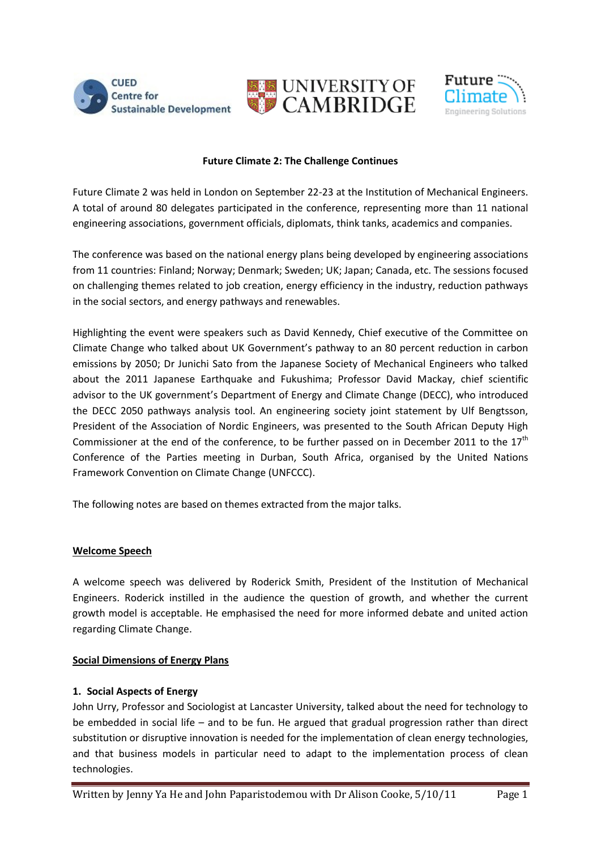





#### **Future Climate 2: The Challenge Continues**

Future Climate 2 was held in London on September 22-23 at the Institution of Mechanical Engineers. A total of around 80 delegates participated in the conference, representing more than 11 national engineering associations, government officials, diplomats, think tanks, academics and companies.

The conference was based on the national energy plans being developed by engineering associations from 11 countries: Finland; Norway; Denmark; Sweden; UK; Japan; Canada, etc. The sessions focused on challenging themes related to job creation, energy efficiency in the industry, reduction pathways in the social sectors, and energy pathways and renewables.

Highlighting the event were speakers such as David Kennedy, Chief executive of the Committee on Climate Change who talked about UK Government's pathway to an 80 percent reduction in carbon emissions by 2050; Dr Junichi Sato from the Japanese Society of Mechanical Engineers who talked about the 2011 Japanese Earthquake and Fukushima; Professor David Mackay, chief scientific advisor to the UK government's Department of Energy and Climate Change (DECC), who introduced the DECC 2050 pathways analysis tool. An engineering society joint statement by Ulf Bengtsson, President of the Association of Nordic Engineers, was presented to the South African Deputy High Commissioner at the end of the conference, to be further passed on in December 2011 to the  $17<sup>th</sup>$ Conference of the Parties meeting in Durban, South Africa, organised by the United Nations Framework Convention on Climate Change (UNFCCC).

The following notes are based on themes extracted from the major talks.

## **Welcome Speech**

A welcome speech was delivered by Roderick Smith, President of the Institution of Mechanical Engineers. Roderick instilled in the audience the question of growth, and whether the current growth model is acceptable. He emphasised the need for more informed debate and united action regarding Climate Change.

## **Social Dimensions of Energy Plans**

## **1. Social Aspects of Energy**

John Urry, Professor and Sociologist at Lancaster University, talked about the need for technology to be embedded in social life – and to be fun. He argued that gradual progression rather than direct substitution or disruptive innovation is needed for the implementation of clean energy technologies, and that business models in particular need to adapt to the implementation process of clean technologies.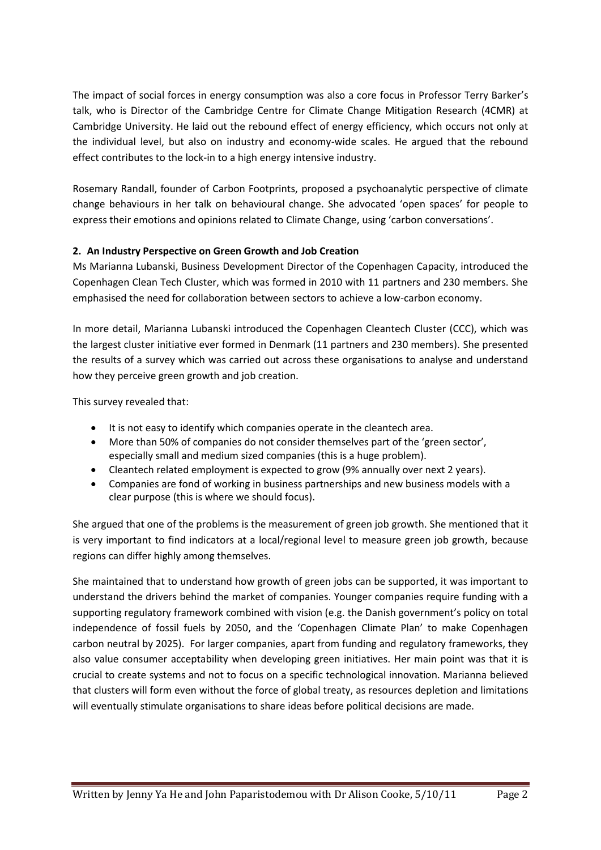The impact of social forces in energy consumption was also a core focus in Professor Terry Barker's talk, who is Director of the Cambridge Centre for Climate Change Mitigation Research (4CMR) at Cambridge University. He laid out the rebound effect of energy efficiency, which occurs not only at the individual level, but also on industry and economy-wide scales. He argued that the rebound effect contributes to the lock-in to a high energy intensive industry.

Rosemary Randall, founder of Carbon Footprints, proposed a psychoanalytic perspective of climate change behaviours in her talk on behavioural change. She advocated 'open spaces' for people to express their emotions and opinions related to Climate Change, using 'carbon conversations'.

## **2. An Industry Perspective on Green Growth and Job Creation**

Ms Marianna Lubanski, Business Development Director of the Copenhagen Capacity, introduced the Copenhagen Clean Tech Cluster, which was formed in 2010 with 11 partners and 230 members. She emphasised the need for collaboration between sectors to achieve a low-carbon economy.

In more detail, Marianna Lubanski introduced the Copenhagen Cleantech Cluster (CCC), which was the largest cluster initiative ever formed in Denmark (11 partners and 230 members). She presented the results of a survey which was carried out across these organisations to analyse and understand how they perceive green growth and job creation.

This survey revealed that:

- It is not easy to identify which companies operate in the cleantech area.
- More than 50% of companies do not consider themselves part of the 'green sector', especially small and medium sized companies (this is a huge problem).
- Cleantech related employment is expected to grow (9% annually over next 2 years).
- Companies are fond of working in business partnerships and new business models with a clear purpose (this is where we should focus).

She argued that one of the problems is the measurement of green job growth. She mentioned that it is very important to find indicators at a local/regional level to measure green job growth, because regions can differ highly among themselves.

She maintained that to understand how growth of green jobs can be supported, it was important to understand the drivers behind the market of companies. Younger companies require funding with a supporting regulatory framework combined with vision (e.g. the Danish government's policy on total independence of fossil fuels by 2050, and the 'Copenhagen Climate Plan' to make Copenhagen carbon neutral by 2025). For larger companies, apart from funding and regulatory frameworks, they also value consumer acceptability when developing green initiatives. Her main point was that it is crucial to create systems and not to focus on a specific technological innovation. Marianna believed that clusters will form even without the force of global treaty, as resources depletion and limitations will eventually stimulate organisations to share ideas before political decisions are made.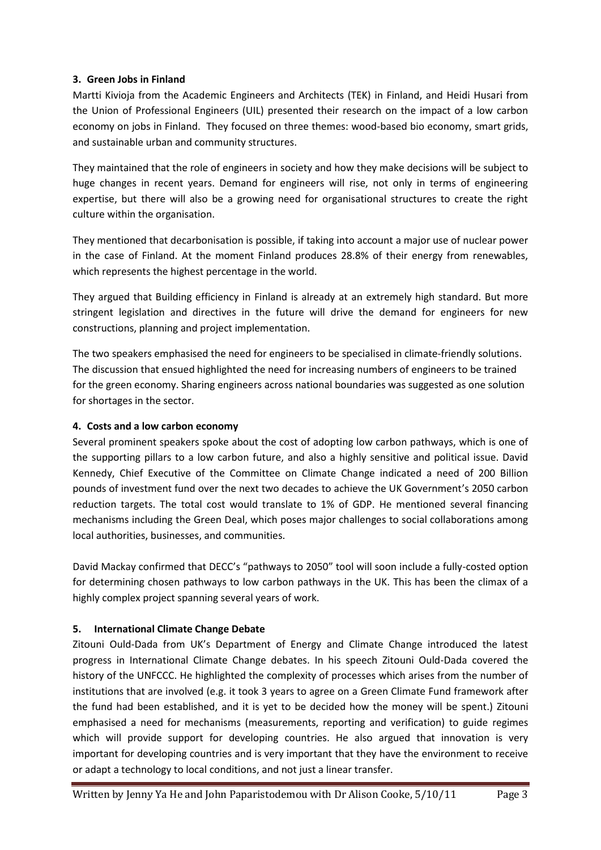## **3. Green Jobs in Finland**

Martti Kivioja from the Academic Engineers and Architects (TEK) in Finland, and Heidi Husari from the Union of Professional Engineers (UIL) presented their research on the impact of a low carbon economy on jobs in Finland. They focused on three themes: wood-based bio economy, smart grids, and sustainable urban and community structures.

They maintained that the role of engineers in society and how they make decisions will be subject to huge changes in recent years. Demand for engineers will rise, not only in terms of engineering expertise, but there will also be a growing need for organisational structures to create the right culture within the organisation.

They mentioned that decarbonisation is possible, if taking into account a major use of nuclear power in the case of Finland. At the moment Finland produces 28.8% of their energy from renewables, which represents the highest percentage in the world.

They argued that Building efficiency in Finland is already at an extremely high standard. But more stringent legislation and directives in the future will drive the demand for engineers for new constructions, planning and project implementation.

The two speakers emphasised the need for engineers to be specialised in climate-friendly solutions. The discussion that ensued highlighted the need for increasing numbers of engineers to be trained for the green economy. Sharing engineers across national boundaries was suggested as one solution for shortages in the sector.

## **4. Costs and a low carbon economy**

Several prominent speakers spoke about the cost of adopting low carbon pathways, which is one of the supporting pillars to a low carbon future, and also a highly sensitive and political issue. David Kennedy, Chief Executive of the Committee on Climate Change indicated a need of 200 Billion pounds of investment fund over the next two decades to achieve the UK Government's 2050 carbon reduction targets. The total cost would translate to 1% of GDP. He mentioned several financing mechanisms including the Green Deal, which poses major challenges to social collaborations among local authorities, businesses, and communities.

David Mackay confirmed that DECC's "pathways to 2050" tool will soon include a fully-costed option for determining chosen pathways to low carbon pathways in the UK. This has been the climax of a highly complex project spanning several years of work.

# **5. International Climate Change Debate**

Zitouni Ould-Dada from UK's Department of Energy and Climate Change introduced the latest progress in International Climate Change debates. In his speech Zitouni Ould-Dada covered the history of the UNFCCC. He highlighted the complexity of processes which arises from the number of institutions that are involved (e.g. it took 3 years to agree on a Green Climate Fund framework after the fund had been established, and it is yet to be decided how the money will be spent.) Zitouni emphasised a need for mechanisms (measurements, reporting and verification) to guide regimes which will provide support for developing countries. He also argued that innovation is very important for developing countries and is very important that they have the environment to receive or adapt a technology to local conditions, and not just a linear transfer.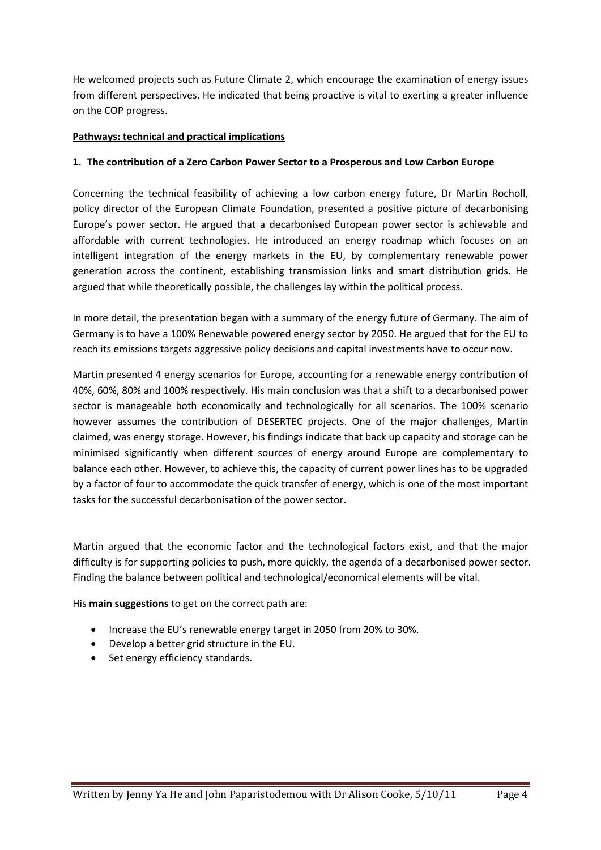He welcomed projects such as Future Climate 2, which encourage the examination of energy issues from different perspectives. He indicated that being proactive is vital to exerting a greater influence on the COP progress.

## **Pathways: technical and practical implications**

#### **1. The contribution of a Zero Carbon Power Sector to a Prosperous and Low Carbon Europe**

Concerning the technical feasibility of achieving a low carbon energy future, Dr Martin Rocholl, policy director of the European Climate Foundation, presented a positive picture of decarbonising Europe's power sector. He argued that a decarbonised European power sector is achievable and affordable with current technologies. He introduced an energy roadmap which focuses on an intelligent integration of the energy markets in the EU, by complementary renewable power generation across the continent, establishing transmission links and smart distribution grids. He argued that while theoretically possible, the challenges lay within the political process.

In more detail, the presentation began with a summary of the energy future of Germany. The aim of Germany is to have a 100% Renewable powered energy sector by 2050. He argued that for the EU to reach its emissions targets aggressive policy decisions and capital investments have to occur now.

Martin presented 4 energy scenarios for Europe, accounting for a renewable energy contribution of 40%, 60%, 80% and 100% respectively. His main conclusion was that a shift to a decarbonised power sector is manageable both economically and technologically for all scenarios. The 100% scenario however assumes the contribution of DESERTEC projects. One of the major challenges, Martin claimed, was energy storage. However, his findings indicate that back up capacity and storage can be minimised significantly when different sources of energy around Europe are complementary to balance each other. However, to achieve this, the capacity of current power lines has to be upgraded by a factor of four to accommodate the quick transfer of energy, which is one of the most important tasks for the successful decarbonisation of the power sector.

Martin argued that the economic factor and the technological factors exist, and that the major difficulty is for supporting policies to push, more quickly, the agenda of a decarbonised power sector. Finding the balance between political and technological/economical elements will be vital.

His **main suggestions** to get on the correct path are:

- Increase the EU's renewable energy target in 2050 from 20% to 30%.
- Develop a better grid structure in the EU.
- Set energy efficiency standards.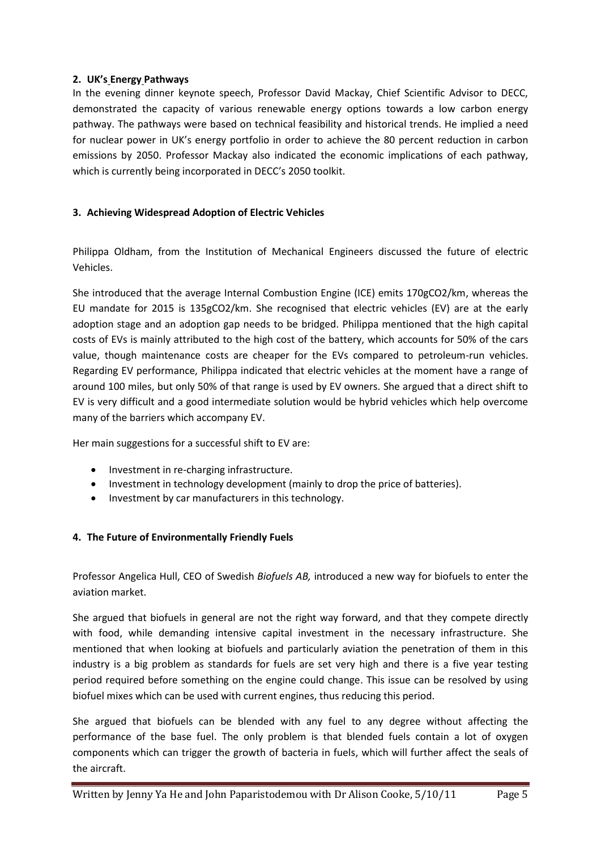## **2. UK's Energy Pathways**

In the evening dinner keynote speech, Professor David Mackay, Chief Scientific Advisor to DECC, demonstrated the capacity of various renewable energy options towards a low carbon energy pathway. The pathways were based on technical feasibility and historical trends. He implied a need for nuclear power in UK's energy portfolio in order to achieve the 80 percent reduction in carbon emissions by 2050. Professor Mackay also indicated the economic implications of each pathway, which is currently being incorporated in DECC's 2050 toolkit.

# **3. Achieving Widespread Adoption of Electric Vehicles**

Philippa Oldham, from the Institution of Mechanical Engineers discussed the future of electric Vehicles.

She introduced that the average Internal Combustion Engine (ICE) emits 170gCO2/km, whereas the EU mandate for 2015 is 135gCO2/km. She recognised that electric vehicles (EV) are at the early adoption stage and an adoption gap needs to be bridged. Philippa mentioned that the high capital costs of EVs is mainly attributed to the high cost of the battery, which accounts for 50% of the cars value, though maintenance costs are cheaper for the EVs compared to petroleum-run vehicles. Regarding EV performance, Philippa indicated that electric vehicles at the moment have a range of around 100 miles, but only 50% of that range is used by EV owners. She argued that a direct shift to EV is very difficult and a good intermediate solution would be hybrid vehicles which help overcome many of the barriers which accompany EV.

Her main suggestions for a successful shift to EV are:

- Investment in re-charging infrastructure.
- Investment in technology development (mainly to drop the price of batteries).
- Investment by car manufacturers in this technology.

## **4. The Future of Environmentally Friendly Fuels**

Professor Angelica Hull, CEO of Swedish *Biofuels AB,* introduced a new way for biofuels to enter the aviation market.

She argued that biofuels in general are not the right way forward, and that they compete directly with food, while demanding intensive capital investment in the necessary infrastructure. She mentioned that when looking at biofuels and particularly aviation the penetration of them in this industry is a big problem as standards for fuels are set very high and there is a five year testing period required before something on the engine could change. This issue can be resolved by using biofuel mixes which can be used with current engines, thus reducing this period.

She argued that biofuels can be blended with any fuel to any degree without affecting the performance of the base fuel. The only problem is that blended fuels contain a lot of oxygen components which can trigger the growth of bacteria in fuels, which will further affect the seals of the aircraft.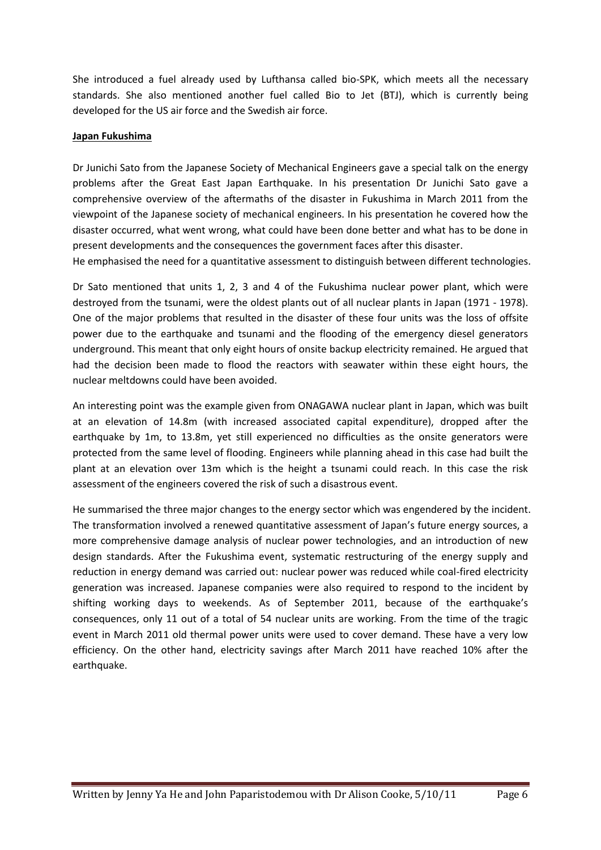She introduced a fuel already used by Lufthansa called bio-SPK, which meets all the necessary standards. She also mentioned another fuel called Bio to Jet (BTJ), which is currently being developed for the US air force and the Swedish air force.

#### **Japan Fukushima**

Dr Junichi Sato from the Japanese Society of Mechanical Engineers gave a special talk on the energy problems after the Great East Japan Earthquake. In his presentation Dr Junichi Sato gave a comprehensive overview of the aftermaths of the disaster in Fukushima in March 2011 from the viewpoint of the Japanese society of mechanical engineers. In his presentation he covered how the disaster occurred, what went wrong, what could have been done better and what has to be done in present developments and the consequences the government faces after this disaster.

He emphasised the need for a quantitative assessment to distinguish between different technologies.

Dr Sato mentioned that units 1, 2, 3 and 4 of the Fukushima nuclear power plant, which were destroyed from the tsunami, were the oldest plants out of all nuclear plants in Japan (1971 - 1978). One of the major problems that resulted in the disaster of these four units was the loss of offsite power due to the earthquake and tsunami and the flooding of the emergency diesel generators underground. This meant that only eight hours of onsite backup electricity remained. He argued that had the decision been made to flood the reactors with seawater within these eight hours, the nuclear meltdowns could have been avoided.

An interesting point was the example given from ONAGAWA nuclear plant in Japan, which was built at an elevation of 14.8m (with increased associated capital expenditure), dropped after the earthquake by 1m, to 13.8m, yet still experienced no difficulties as the onsite generators were protected from the same level of flooding. Engineers while planning ahead in this case had built the plant at an elevation over 13m which is the height a tsunami could reach. In this case the risk assessment of the engineers covered the risk of such a disastrous event.

He summarised the three major changes to the energy sector which was engendered by the incident. The transformation involved a renewed quantitative assessment of Japan's future energy sources, a more comprehensive damage analysis of nuclear power technologies, and an introduction of new design standards. After the Fukushima event, systematic restructuring of the energy supply and reduction in energy demand was carried out: nuclear power was reduced while coal-fired electricity generation was increased. Japanese companies were also required to respond to the incident by shifting working days to weekends. As of September 2011, because of the earthquake's consequences, only 11 out of a total of 54 nuclear units are working. From the time of the tragic event in March 2011 old thermal power units were used to cover demand. These have a very low efficiency. On the other hand, electricity savings after March 2011 have reached 10% after the earthquake.